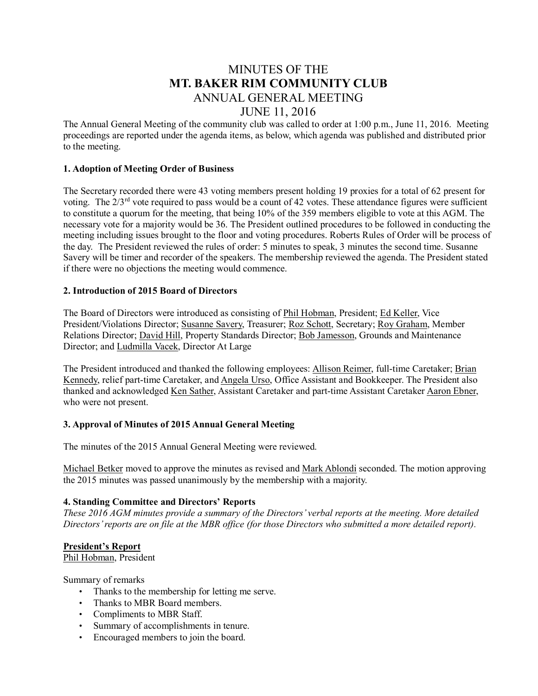# MINUTES OF THE MT. BAKER RIM COMMUNITY CLUB ANNUAL GENERAL MEETING JUNE 11, 2016

The Annual General Meeting of the community club was called to order at 1:00 p.m., June 11, 2016. Meeting proceedings are reported under the agenda items, as below, which agenda was published and distributed prior to the meeting.

## 1. Adoption of Meeting Order of Business

The Secretary recorded there were 43 voting members present holding 19 proxies for a total of 62 present for voting. The 2/3rd vote required to pass would be a count of 42 votes. These attendance figures were sufficient to constitute a quorum for the meeting, that being 10% of the 359 members eligible to vote at this AGM. The necessary vote for a majority would be 36. The President outlined procedures to be followed in conducting the meeting including issues brought to the floor and voting procedures. Roberts Rules of Order will be process of the day. The President reviewed the rules of order: 5 minutes to speak, 3 minutes the second time. Susanne Savery will be timer and recorder of the speakers. The membership reviewed the agenda. The President stated if there were no objections the meeting would commence.

## 2. Introduction of 2015 Board of Directors

The Board of Directors were introduced as consisting of Phil Hobman, President; Ed Keller, Vice President/Violations Director; Susanne Savery, Treasurer; Roz Schott, Secretary; Roy Graham, Member Relations Director; David Hill, Property Standards Director; Bob Jamesson, Grounds and Maintenance Director; and Ludmilla Vacek, Director At Large

The President introduced and thanked the following employees: Allison Reimer, full-time Caretaker; Brian Kennedy, relief part-time Caretaker, and Angela Urso, Office Assistant and Bookkeeper. The President also thanked and acknowledged Ken Sather, Assistant Caretaker and part-time Assistant Caretaker Aaron Ebner, who were not present.

#### 3. Approval of Minutes of 2015 Annual General Meeting

The minutes of the 2015 Annual General Meeting were reviewed.

Michael Betker moved to approve the minutes as revised and Mark Ablondi seconded. The motion approving the 2015 minutes was passed unanimously by the membership with a majority.

#### 4. Standing Committee and Directors' Reports

*These 2016 AGM minutes provide a summary of the Directors' verbal reports at the meeting. More detailed* Directors' reports are on file at the MBR office (for those Directors who submitted a more detailed report).

#### President's Report

Phil Hobman, President

Summary of remarks

- Thanks to the membership for letting me serve.
- Thanks to MBR Board members.
- Compliments to MBR Staff.
- Summary of accomplishments in tenure.
- Encouraged members to join the board.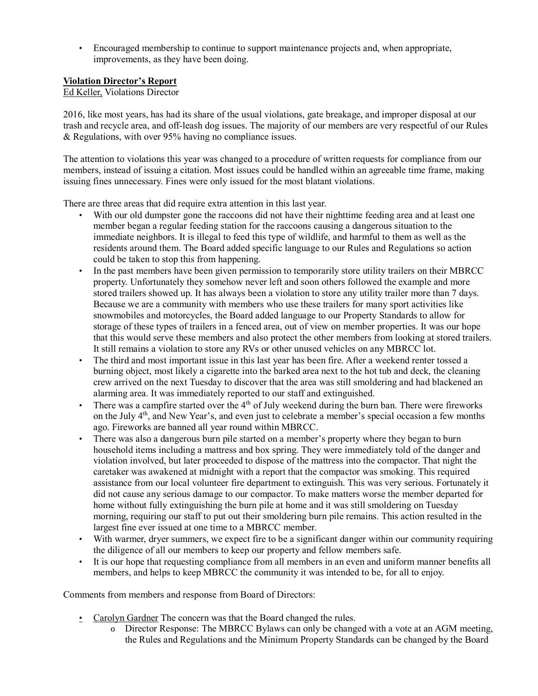• Encouraged membership to continue to support maintenance projects and, when appropriate, improvements, as they have been doing.

## Violation Director's Report

Ed Keller, Violations Director

2016, like most years, has had its share of the usual violations, gate breakage, and improper disposal at our trash and recycle area, and off-leash dog issues. The majority of our members are very respectful of our Rules & Regulations, with over 95% having no compliance issues.

The attention to violations this year was changed to a procedure of written requests for compliance from our members, instead of issuing a citation. Most issues could be handled within an agreeable time frame, making issuing fines unnecessary. Fines were only issued for the most blatant violations.

There are three areas that did require extra attention in this last year.

- With our old dumpster gone the raccoons did not have their nighttime feeding area and at least one member began a regular feeding station for the raccoons causing a dangerous situation to the immediate neighbors. It is illegal to feed this type of wildlife, and harmful to them as well as the residents around them. The Board added specific language to our Rules and Regulations so action could be taken to stop this from happening.
- In the past members have been given permission to temporarily store utility trailers on their MBRCC property. Unfortunately they somehow never left and soon others followed the example and more stored trailers showed up. It has always been a violation to store any utility trailer more than 7 days. Because we are a community with members who use these trailers for many sport activities like snowmobiles and motorcycles, the Board added language to our Property Standards to allow for storage of these types of trailers in a fenced area, out of view on member properties. It was our hope that this would serve these members and also protect the other members from looking at stored trailers. It still remains a violation to store any RVs or other unused vehicles on any MBRCC lot.
- The third and most important issue in this last year has been fire. After a weekend renter tossed a burning object, most likely a cigarette into the barked area next to the hot tub and deck, the cleaning crew arrived on the next Tuesday to discover that the area was still smoldering and had blackened an alarming area. It was immediately reported to our staff and extinguished.
- There was a campfire started over the  $4<sup>th</sup>$  of July weekend during the burn ban. There were fireworks on the July 4<sup>th</sup>, and New Year's, and even just to celebrate a member's special occasion a few months ago. Fireworks are banned all year round within MBRCC.
- There was also a dangerous burn pile started on a member's property where they began to burn household items including a mattress and box spring. They were immediately told of the danger and violation involved, but later proceeded to dispose of the mattress into the compactor. That night the caretaker was awakened at midnight with a report that the compactor was smoking. This required assistance from our local volunteer fire department to extinguish. This was very serious. Fortunately it did not cause any serious damage to our compactor. To make matters worse the member departed for home without fully extinguishing the burn pile at home and it was still smoldering on Tuesday morning, requiring our staff to put out their smoldering burn pile remains. This action resulted in the largest fine ever issued at one time to a MBRCC member.
- With warmer, dryer summers, we expect fire to be a significant danger within our community requiring the diligence of all our members to keep our property and fellow members safe.
- It is our hope that requesting compliance from all members in an even and uniform manner benefits all members, and helps to keep MBRCC the community it was intended to be, for all to enjoy.

Comments from members and response from Board of Directors:

- Carolyn Gardner The concern was that the Board changed the rules.
	- o Director Response: The MBRCC Bylaws can only be changed with a vote at an AGM meeting, the Rules and Regulations and the Minimum Property Standards can be changed by the Board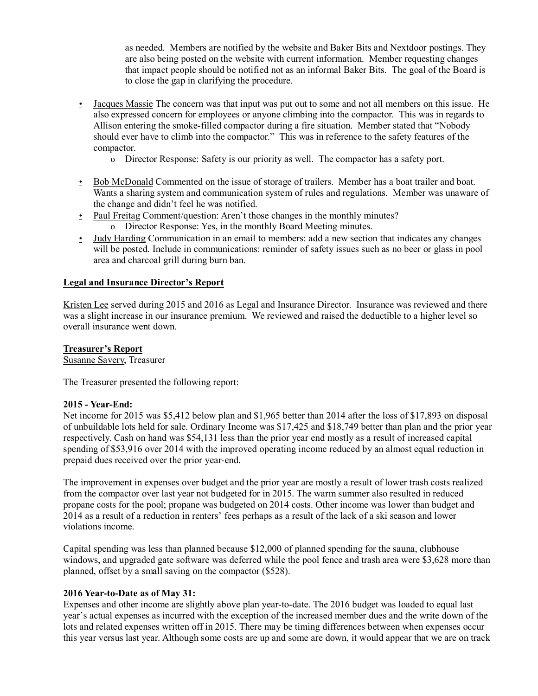as needed. Members are notified by the website and Baker Bits and Nextdoor postings. They are also being posted on the website with current information. Member requesting changes that impact people should be notified not as an informal Baker Bits. The goal of the Board is to close the gap in clarifying the procedure.

- Jacques Massie The concern was that input was put out to some and not all members on this issue. He also expressed concern for employees or anyone climbing into the compactor. This was in regards to Allison entering the smoke-filled compactor during a fire situation. Member stated that "Nobody should ever have to climb into the compactor." This was in reference to the safety features of the compactor.
	- o Director Response: Safety is our priority as well. The compactor has a safety port.
- Bob McDonald Commented on the issue of storage of trailers. Member has a boat trailer and boat. Wants a sharing system and communication system of rules and regulations. Member was unaware of the change and didn't feel he was notified.
- Paul Freitag Comment/question: Aren't those changes in the monthly minutes?
- o Director Response: Yes, in the monthly Board Meeting minutes.
- Judy Harding Communication in an email to members: add a new section that indicates any changes will be posted. Include in communications: reminder of safety issues such as no beer or glass in pool area and charcoal grill during burn ban.

#### Legal and Insurance Director's Report

Kristen Lee served during 2015 and 2016 as Legal and Insurance Director. Insurance was reviewed and there was a slight increase in our insurance premium. We reviewed and raised the deductible to a higher level so overall insurance went down.

#### Treasurer's Report

Susanne Savery, Treasurer

The Treasurer presented the following report:

#### 2015 - Year-End:

Net income for 2015 was \$5,412 below plan and \$1,965 better than 2014 after the loss of \$17,893 on disposal of unbuildable lots held for sale. Ordinary Income was \$17,425 and \$18,749 better than plan and the prior year respectively. Cash on hand was \$54,131 less than the prior year end mostly as a result of increased capital spending of \$53,916 over 2014 with the improved operating income reduced by an almost equal reduction in prepaid dues received over the prior year-end.

The improvement in expenses over budget and the prior year are mostly a result of lower trash costs realized from the compactor over last year not budgeted for in 2015. The warm summer also resulted in reduced propane costs for the pool; propane was budgeted on 2014 costs. Other income was lower than budget and 2014 as a result of a reduction in renters' fees perhaps as a result of the lack of a ski season and lower violations income.

Capital spending was less than planned because \$12,000 of planned spending for the sauna, clubhouse windows, and upgraded gate software was deferred while the pool fence and trash area were \$3,628 more than planned, offset by a small saving on the compactor (\$528).

#### 2016 Year-to-Date as of May 31:

Expenses and other income are slightly above plan year-to-date. The 2016 budget was loaded to equal last year's actual expenses as incurred with the exception of the increased member dues and the write down of the lots and related expenses written off in 2015. There may be timing differences between when expenses occur this year versus last year. Although some costs are up and some are down, it would appear that we are on track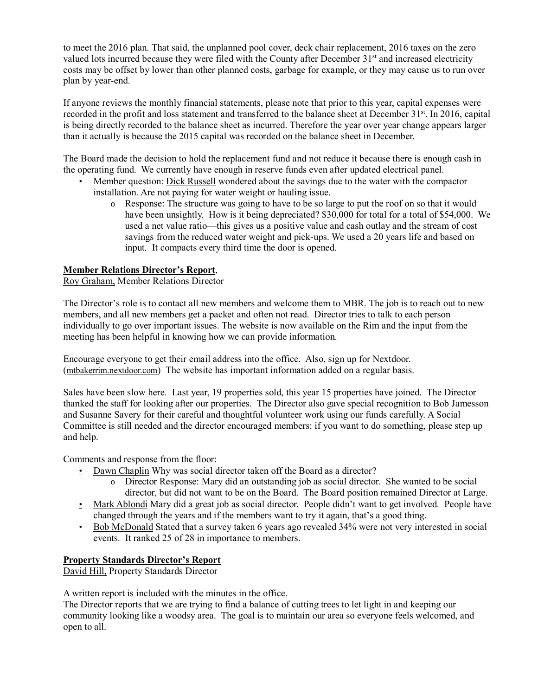to meet the 2016 plan. That said, the unplanned pool cover, deck chair replacement, 2016 taxes on the zero valued lots incurred because they were filed with the County after December 31<sup>st</sup> and increased electricity costs may be offset by lower than other planned costs, garbage for example, or they may cause us to run over plan by year-end.

If anyone reviews the monthly financial statements, please note that prior to this year, capital expenses were recorded in the profit and loss statement and transferred to the balance sheet at December 31<sup>st</sup>. In 2016, capital is being directly recorded to the balance sheet as incurred. Therefore the year over year change appears larger than it actually is because the 2015 capital was recorded on the balance sheet in December.

The Board made the decision to hold the replacement fund and not reduce it because there is enough cash in the operating fund. We currently have enough in reserve funds even after updated electrical panel.

- Member question: Dick Russell wondered about the savings due to the water with the compactor installation. Are not paying for water weight or hauling issue.
	- o Response: The structure was going to have to be so large to put the roof on so that it would have been unsightly. How is it being depreciated? \$30,000 for total for a total of \$54,000. We used a net value ratio—this gives us a positive value and cash outlay and the stream of cost savings from the reduced water weight and pick-ups. We used a 20 years life and based on input. It compacts every third time the door is opened.

## Member Relations Director's Report,

Roy Graham, Member Relations Director

The Director's role is to contact all new members and welcome them to MBR. The job is to reach out to new members, and all new members get a packet and often not read. Director tries to talk to each person individually to go over important issues. The website is now available on the Rim and the input from the meeting has been helpful in knowing how we can provide information.

Encourage everyone to get their email address into the office. Also, sign up for Nextdoor. ([mtbakerrim.nextdoor.com](http://mtbakerrim.nextdoor.com/)) The website has important information added on a regular basis.

Sales have been slow here. Last year, 19 properties sold, this year 15 properties have joined. The Director thanked the staff for looking after our properties. The Director also gave special recognition to Bob Jamesson and Susanne Savery for their careful and thoughtful volunteer work using our funds carefully. A Social Committee is still needed and the director encouraged members: if you want to do something, please step up and help.

Comments and response from the floor:

- Dawn Chaplin Why was social director taken off the Board as a director?
	- o Director Response: Mary did an outstanding job as social director. She wanted to be social director, but did not want to be on the Board. The Board position remained Director at Large.
- Mark Ablondi Mary did a great job as social director. People didn't want to get involved. People have changed through the years and if the members want to try it again, that's a good thing.
- Bob McDonald Stated that a survey taken 6 years ago revealed 34% were not very interested in social events. It ranked 25 of 28 in importance to members.

## Property Standards Director's Report

David Hill, Property Standards Director

A written report is included with the minutes in the office.

The Director reports that we are trying to find a balance of cutting trees to let light in and keeping our community looking like a woodsy area. The goal is to maintain our area so everyone feels welcomed, and open to all.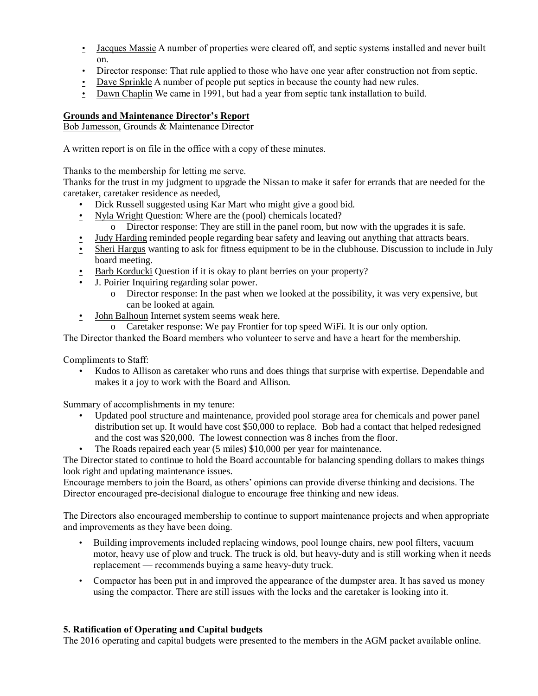- Jacques Massie A number of properties were cleared off, and septic systems installed and never built on.
- Director response: That rule applied to those who have one year after construction not from septic.
- Dave Sprinkle A number of people put septics in because the county had new rules.
- Dawn Chaplin We came in 1991, but had a year from septic tank installation to build.

# Grounds and Maintenance Director's Report

Bob Jamesson, Grounds & Maintenance Director

A written report is on file in the office with a copy of these minutes.

Thanks to the membership for letting me serve.

Thanks for the trust in my judgment to upgrade the Nissan to make it safer for errands that are needed for the caretaker, caretaker residence as needed,

- Dick Russell suggested using Kar Mart who might give a good bid.
- Nyla Wright Question: Where are the (pool) chemicals located?
	- o Director response: They are still in the panel room, but now with the upgrades it is safe.
- Judy Harding reminded people regarding bear safety and leaving out anything that attracts bears.
- Sheri Hargus wanting to ask for fitness equipment to be in the clubhouse. Discussion to include in July board meeting.
- Barb Korducki Question if it is okay to plant berries on your property?
- J. Poirier Inquiring regarding solar power.
	- o Director response: In the past when we looked at the possibility, it was very expensive, but can be looked at again.
- John Balhoun Internet system seems weak here.
	- o Caretaker response: We pay Frontier for top speed WiFi. It is our only option.

The Director thanked the Board members who volunteer to serve and have a heart for the membership.

Compliments to Staff:

• Kudos to Allison as caretaker who runs and does things that surprise with expertise. Dependable and makes it a joy to work with the Board and Allison.

Summary of accomplishments in my tenure:

- Updated pool structure and maintenance, provided pool storage area for chemicals and power panel distribution set up. It would have cost \$50,000 to replace. Bob had a contact that helped redesigned and the cost was \$20,000. The lowest connection was 8 inches from the floor.
- The Roads repaired each year (5 miles) \$10,000 per year for maintenance.

The Director stated to continue to hold the Board accountable for balancing spending dollars to makes things look right and updating maintenance issues.

Encourage members to join the Board, as others' opinions can provide diverse thinking and decisions. The Director encouraged pre-decisional dialogue to encourage free thinking and new ideas.

The Directors also encouraged membership to continue to support maintenance projects and when appropriate and improvements as they have been doing.

- Building improvements included replacing windows, pool lounge chairs, new pool filters, vacuum motor, heavy use of plow and truck. The truck is old, but heavy-duty and is still working when it needs replacement — recommends buying a same heavy-duty truck.
- Compactor has been put in and improved the appearance of the dumpster area. It has saved us money using the compactor. There are still issues with the locks and the caretaker is looking into it.

## 5. Ratification of Operating and Capital budgets

The 2016 operating and capital budgets were presented to the members in the AGM packet available online.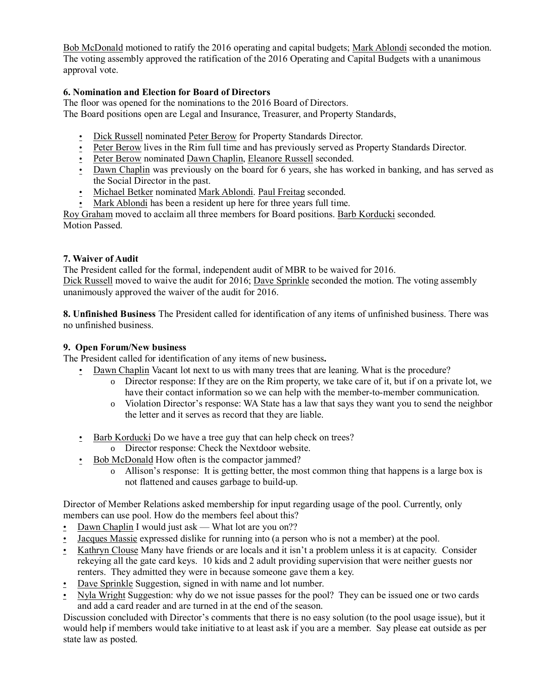Bob McDonald motioned to ratify the 2016 operating and capital budgets; Mark Ablondi seconded the motion. The voting assembly approved the ratification of the 2016 Operating and Capital Budgets with a unanimous approval vote.

# 6. Nomination and Election for Board of Directors

The floor was opened for the nominations to the 2016 Board of Directors. The Board positions open are Legal and Insurance, Treasurer, and Property Standards,

- Dick Russell nominated Peter Berow for Property Standards Director.
- Peter Berow lives in the Rim full time and has previously served as Property Standards Director.
- Peter Berow nominated Dawn Chaplin, Eleanore Russell seconded.
- Dawn Chaplin was previously on the board for 6 years, she has worked in banking, and has served as the Social Director in the past.
- Michael Betker nominated Mark Ablondi. Paul Freitag seconded.
- Mark Ablondi has been a resident up here for three years full time.

Roy Graham moved to acclaim all three members for Board positions. Barb Korducki seconded. Motion Passed.

## 7. Waiver of Audit

The President called for the formal, independent audit of MBR to be waived for 2016. Dick Russell moved to waive the audit for 2016; Dave Sprinkle seconded the motion. The voting assembly unanimously approved the waiver of the audit for 2016.

8. Unfinished Business The President called for identification of any items of unfinished business. There was no unfinished business.

## 9. Open Forum/New business

The President called for identification of any items of new business.

- Dawn Chaplin Vacant lot next to us with many trees that are leaning. What is the procedure?
	- o Director response: If they are on the Rim property, we take care of it, but if on a private lot, we have their contact information so we can help with the member-to-member communication.
	- o Violation Director's response: WA State has a law that says they want you to send the neighbor the letter and it serves as record that they are liable.
	- Barb Korducki Do we have a tree guy that can help check on trees?
		- o Director response: Check the Nextdoor website.
	- Bob McDonald How often is the compactor jammed?
		- o Allison's response: It is getting better, the most common thing that happens is a large box is not flattened and causes garbage to build-up.

Director of Member Relations asked membership for input regarding usage of the pool. Currently, only members can use pool. How do the members feel about this?

- Dawn Chaplin I would just ask What lot are you on??
- Jacques Massie expressed dislike for running into (a person who is not a member) at the pool.
- Kathryn Clouse Many have friends or are locals and it isn't a problem unless it is at capacity. Consider rekeying all the gate card keys. 10 kids and 2 adult providing supervision that were neither guests nor renters. They admitted they were in because someone gave them a key.
- Dave Sprinkle Suggestion, signed in with name and lot number.
- Nyla Wright Suggestion: why do we not issue passes for the pool? They can be issued one or two cards and add a card reader and are turned in at the end of the season.

Discussion concluded with Director's comments that there is no easy solution (to the pool usage issue), but it would help if members would take initiative to at least ask if you are a member. Say please eat outside as per state law as posted.